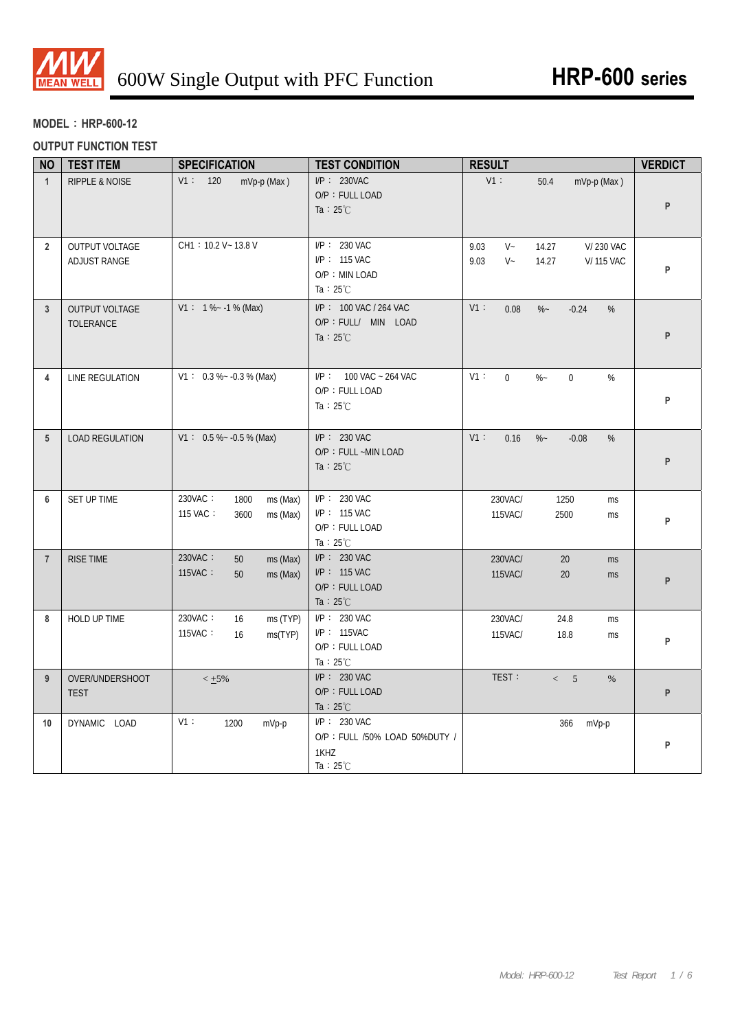

## **MODEL**:**HRP-600-12**

## **OUTPUT FUNCTION TEST**

| <b>NO</b>       | <b>TEST ITEM</b>                          | <b>SPECIFICATION</b>                                        | <b>TEST CONDITION</b>                                                       | <b>RESULT</b>                                                                     | <b>VERDICT</b> |
|-----------------|-------------------------------------------|-------------------------------------------------------------|-----------------------------------------------------------------------------|-----------------------------------------------------------------------------------|----------------|
| $\mathbf{1}$    | <b>RIPPLE &amp; NOISE</b>                 | V1: 120<br>mVp-p (Max)                                      | I/P: 230VAC<br>O/P: FULL LOAD<br>Ta : $25^{\circ}$ C                        | V1:<br>50.4<br>mVp-p (Max)                                                        | P              |
| $\overline{2}$  | OUTPUT VOLTAGE<br>ADJUST RANGE            | CH1: 10.2 V ~ 13.8 V                                        | I/P: 230 VAC<br>I/P: 115 VAC<br>O/P: MIN LOAD<br>Ta : $25^{\circ}$ C        | 9.03<br>$V -$<br>14.27<br>V/230 VAC<br>9.03<br>$V -$<br>14.27<br><b>V/115 VAC</b> | P              |
| 3               | <b>OUTPUT VOLTAGE</b><br><b>TOLERANCE</b> | $V1: 1\%~1.1\%$ (Max)                                       | I/P: 100 VAC / 264 VAC<br>O/P : FULL/ MIN LOAD<br>Ta : $25^{\circ}$ C       | V1:<br>0.08<br>$\%$ ~<br>$-0.24$<br>%                                             | P              |
| 4               | LINE REGULATION                           | $V1: 0.3 % -0.3 %$ (Max)                                    | I/P: 100 VAC ~ 264 VAC<br>O/P: FULL LOAD<br>Ta : $25^{\circ}$ C             | $V1$ :<br>$\overline{0}$<br>$\%$ ~<br>$\pmb{0}$<br>$\%$                           | P              |
| $5\phantom{.0}$ | <b>LOAD REGULATION</b>                    | $V1: 0.5 % ~ -0.5 %$ (Max)                                  | I/P: 230 VAC<br>O/P: FULL ~MIN LOAD<br>Ta : $25^{\circ}$ C                  | V1:<br>0.16<br>$\%$ ~<br>$-0.08$<br>%                                             | P              |
| 6               | SET UP TIME                               | 230VAC:<br>1800<br>ms (Max)<br>115 VAC:<br>3600<br>ms (Max) | I/P: 230 VAC<br>I/P: 115 VAC<br>O/P: FULL LOAD<br>Ta : $25^{\circ}$ C       | 230VAC/<br>1250<br>ms<br>115VAC/<br>2500<br>ms                                    | P              |
| $\overline{7}$  | RISE TIME                                 | 230VAC:<br>ms (Max)<br>50<br>115VAC:<br>50<br>ms (Max)      | I/P: 230 VAC<br>I/P: 115 VAC<br>O/P: FULL LOAD<br>Ta : $25^{\circ}$ C       | 230VAC/<br>20<br>ms<br>115VAC/<br>20<br>ms                                        | P              |
| 8               | HOLD UP TIME                              | 230VAC:<br>16<br>ms (TYP)<br>115VAC:<br>16<br>ms(TYP)       | $I/P$ : 230 VAC<br>$I/P$ : 115VAC<br>O/P: FULL LOAD<br>Ta : $25^{\circ}$ C  | 230VAC/<br>24.8<br>ms<br>115VAC/<br>18.8<br>ms                                    | P              |
| 9               | OVER/UNDERSHOOT<br><b>TEST</b>            | $< 1.5\%$                                                   | $I/P$ : 230 VAC<br>O/P: FULL LOAD<br>Ta : $25^{\circ}$ C                    | TEST:<br>< 5<br>%                                                                 | P              |
| 10              | DYNAMIC LOAD                              | V1:<br>1200<br>mVp-p                                        | I/P: 230 VAC<br>O/P: FULL /50% LOAD 50%DUTY /<br>1KHZ<br>Ta: $25^{\circ}$ C | 366<br>mVp-p                                                                      | P              |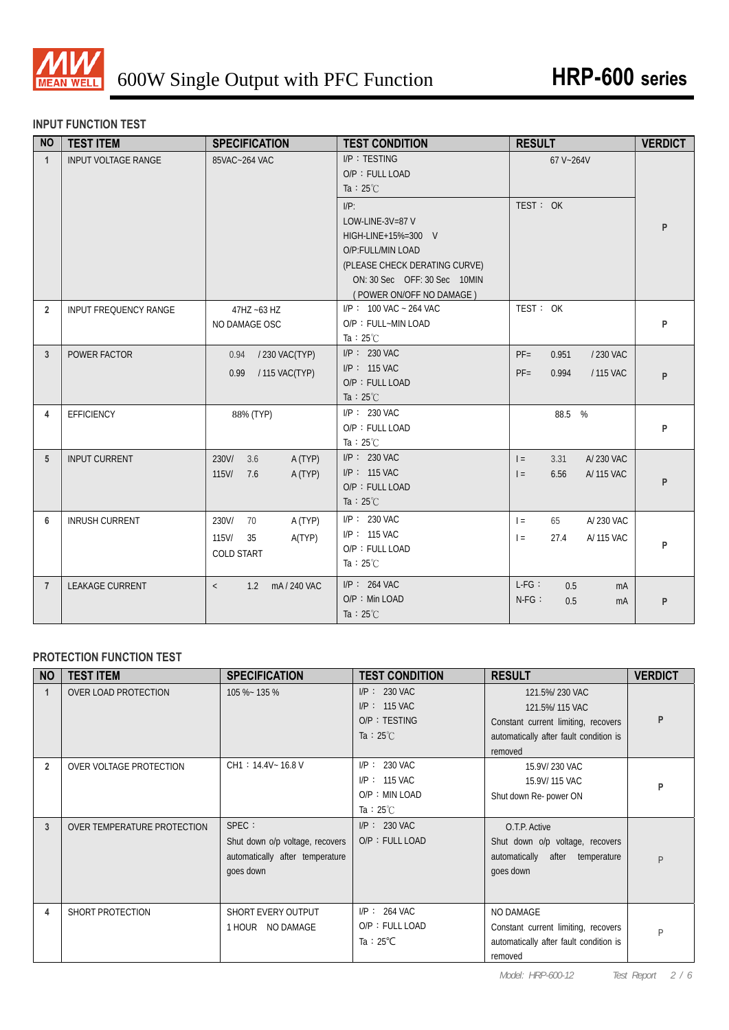

## **INPUT FUNCTION TEST**

| <b>NO</b>      | <b>TEST ITEM</b>             | <b>SPECIFICATION</b>                                                    | <b>TEST CONDITION</b>                                                                                                                                                | <b>RESULT</b>                                                  | <b>VERDICT</b> |
|----------------|------------------------------|-------------------------------------------------------------------------|----------------------------------------------------------------------------------------------------------------------------------------------------------------------|----------------------------------------------------------------|----------------|
| $\mathbf{1}$   | <b>INPUT VOLTAGE RANGE</b>   | 85VAC~264 VAC                                                           | I/P: TESTING<br>O/P: FULL LOAD<br>Ta : $25^{\circ}$ C                                                                                                                | 67 V~264V                                                      |                |
|                |                              |                                                                         | $I/P$ :<br>LOW-LINE-3V=87 V<br>HIGH-LINE+15%=300 V<br>O/P:FULL/MIN LOAD<br>(PLEASE CHECK DERATING CURVE)<br>ON: 30 Sec OFF: 30 Sec 10MIN<br>(POWER ON/OFF NO DAMAGE) | TEST: OK                                                       | P              |
| $\overline{2}$ | <b>INPUT FREQUENCY RANGE</b> | 47HZ ~63 HZ<br>NO DAMAGE OSC                                            | $I/P$ : 100 VAC ~ 264 VAC<br>O/P: FULL~MIN LOAD<br>Ta : $25^{\circ}$ C                                                                                               | TEST: OK                                                       | P              |
| $\mathbf{3}$   | POWER FACTOR                 | 0.94 / 230 VAC(TYP)<br>0.99 / 115 VAC(TYP)                              | I/P: 230 VAC<br>$I/P$ : 115 VAC<br>O/P: FULL LOAD<br>Ta : $25^{\circ}$ C                                                                                             | $PF =$<br>0.951<br>/ 230 VAC<br>$PF =$<br>0.994<br>/ 115 VAC   | P              |
| 4              | <b>EFFICIENCY</b>            | 88% (TYP)                                                               | $I/P$ : 230 VAC<br>O/P: FULL LOAD<br>Ta : $25^{\circ}$ C                                                                                                             | 88.5 %                                                         | P              |
| 5              | <b>INPUT CURRENT</b>         | 3.6<br>230V/<br>A (TYP)<br>115V/<br>A (TYP)<br>7.6                      | $I/P: 230$ VAC<br>$I/P$ : 115 VAC<br>O/P: FULL LOAD<br>Ta : $25^{\circ}$ C                                                                                           | 3.31<br>A/230 VAC<br>$=$<br>6.56<br>A/ 115 VAC<br>$=$          | P              |
| 6              | <b>INRUSH CURRENT</b>        | 230V/<br>70<br>A (TYP)<br>$115$ V/<br>A(TYP)<br>35<br><b>COLD START</b> | $I/P$ : 230 VAC<br>$I/P$ : 115 VAC<br>O/P: FULL LOAD<br>Ta : $25^{\circ}$ C                                                                                          | 65<br>A/230 VAC<br>$\vert$ =<br>A/115 VAC<br>27.4<br>$\vert$ = | P              |
| $\overline{7}$ | <b>LEAKAGE CURRENT</b>       | 1.2 mA/240 VAC<br>$\langle$                                             | $I/P$ : 264 VAC<br>$O/P$ : Min LOAD<br>Ta : $25^{\circ}$ C                                                                                                           | $L-FG$ :<br>0.5<br>mA<br>$N-FG$ :<br>0.5<br>mA                 | P              |

# **PROTECTION FUNCTION TEST**

| <b>NO</b>      | <b>TEST ITEM</b>            | <b>SPECIFICATION</b>            | <b>TEST CONDITION</b> | <b>RESULT</b>                          | <b>VERDICT</b> |
|----------------|-----------------------------|---------------------------------|-----------------------|----------------------------------------|----------------|
|                | <b>OVER LOAD PROTECTION</b> | 105 %~ 135 %                    | $I/P: 230$ VAC        | 121.5%/230 VAC                         |                |
|                |                             |                                 | $I/P$ : 115 VAC       | 121.5%/115 VAC                         |                |
|                |                             |                                 | $O/P$ : TESTING       | Constant current limiting, recovers    |                |
|                |                             |                                 | Ta : $25^{\circ}$ C   | automatically after fault condition is |                |
|                |                             |                                 |                       | removed                                |                |
| $\overline{2}$ | OVER VOLTAGE PROTECTION     | CH1: 14.4V~ 16.8 V              | $I/P$ : 230 VAC       | 15.9V/230 VAC                          |                |
|                |                             |                                 | $I/P: 115$ VAC        | 15.9V/115 VAC                          | P              |
|                |                             |                                 | O/P: MIN LOAD         | Shut down Re- power ON                 |                |
|                |                             |                                 | Ta : $25^{\circ}$ C   |                                        |                |
| 3              | OVER TEMPERATURE PROTECTION | SPEC :                          | $I/P$ : 230 VAC       | O.T.P. Active                          |                |
|                |                             | Shut down o/p voltage, recovers | O/P: FULL LOAD        | Shut down o/p voltage, recovers        |                |
|                |                             | automatically after temperature |                       | automatically after temperature        | P              |
|                |                             | goes down                       |                       | goes down                              |                |
|                |                             |                                 |                       |                                        |                |
|                |                             |                                 |                       |                                        |                |
| 4              | SHORT PROTECTION            | SHORT EVERY OUTPUT              | $I/P$ : 264 VAC       | <b>NO DAMAGE</b>                       |                |
|                |                             | 1 HOUR NO DAMAGE                | O/P: FULL LOAD        | Constant current limiting, recovers    | P              |
|                |                             |                                 | Ta : $25^{\circ}$ C   | automatically after fault condition is |                |
|                |                             |                                 |                       | removed                                |                |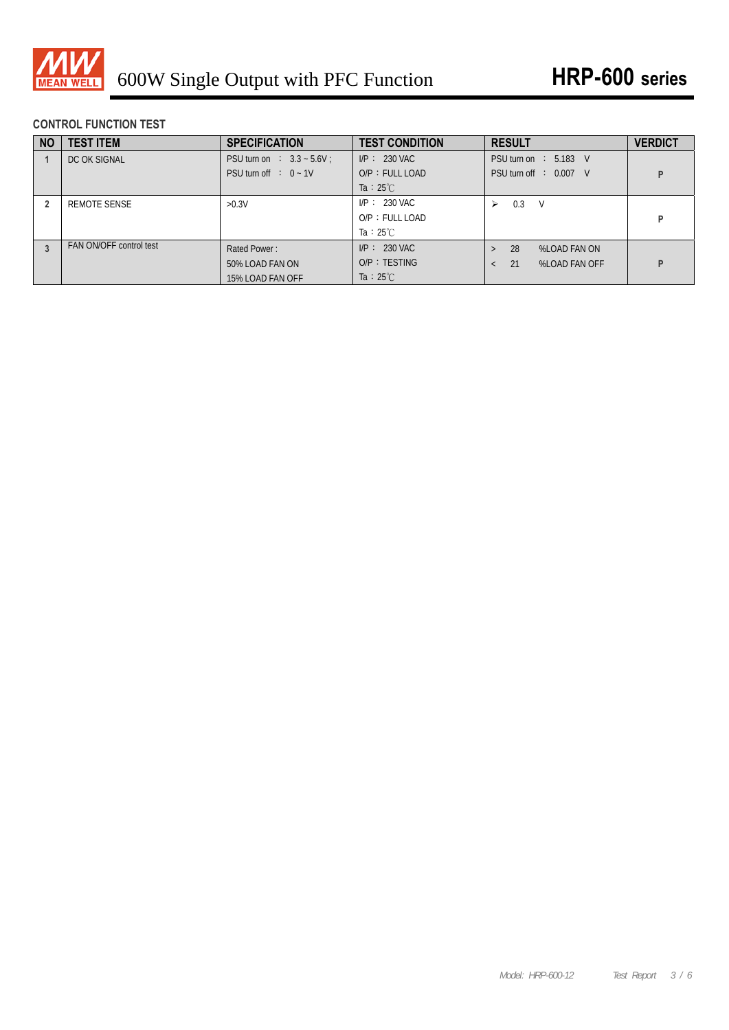

# **CONTROL FUNCTION TEST**

| <b>NO</b> | <b>TEST ITEM</b>        | <b>SPECIFICATION</b>              | <b>TEST CONDITION</b> | <b>RESULT</b>                    | <b>VERDICT</b> |
|-----------|-------------------------|-----------------------------------|-----------------------|----------------------------------|----------------|
|           | DC OK SIGNAL            | <b>PSU turn on : 3.3 ~ 5.6V</b> : | $I/P: 230$ VAC        | PSU turn on $\therefore$ 5.183 V |                |
|           |                         | PSU turn off $: 0 - 1V$           | $O/P$ : FULL LOAD     | PSU turn off : 0.007 V           |                |
|           |                         |                                   | Ta : $25^{\circ}$ C   |                                  |                |
|           | REMOTE SENSE            | >0.3V                             | $I/P: 230$ VAC        | V<br>0.3<br>⋗                    |                |
|           |                         |                                   | $O/P$ : FULL LOAD     |                                  |                |
|           |                         |                                   | Ta : $25^{\circ}$ C   |                                  |                |
|           | FAN ON/OFF control test | Rated Power:                      | $I/P: 230$ VAC        | 28<br>%LOAD FAN ON<br>$\geq$     |                |
|           |                         | 50% LOAD FAN ON                   | $O/P$ : TESTING       | 21<br>%LOAD FAN OFF              |                |
|           |                         | 15% LOAD FAN OFF                  | Ta : $25^{\circ}$ C   |                                  |                |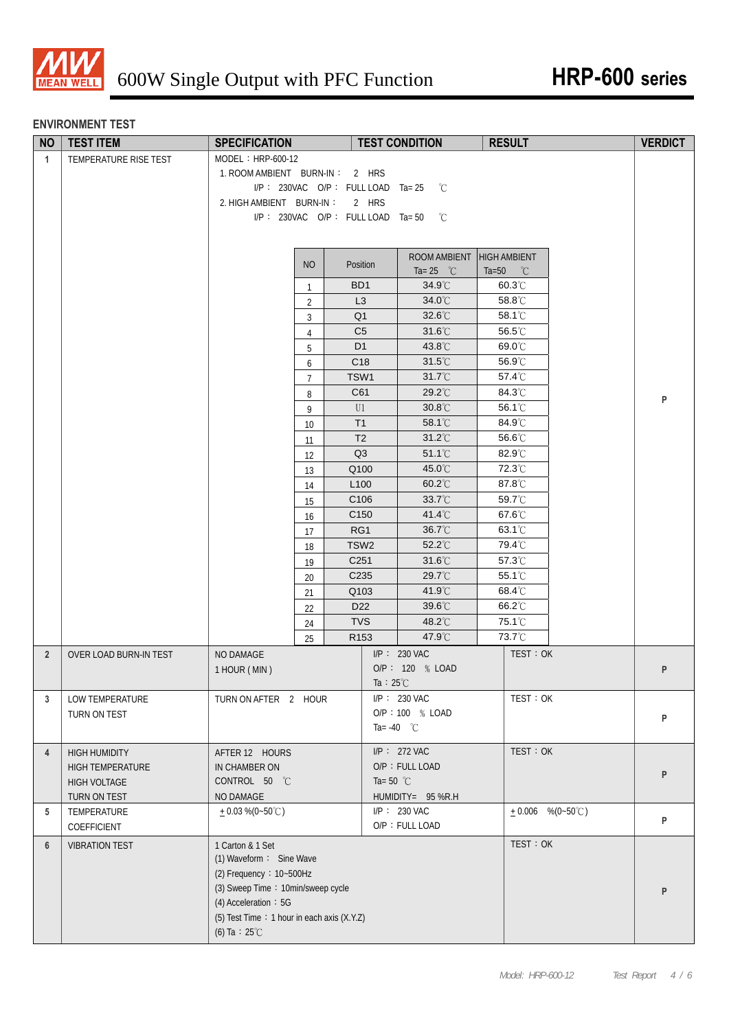

#### **ENVIRONMENT TEST**

| <b>NO</b>      | <b>TEST ITEM</b>              | <b>SPECIFICATION</b>                       |                      | <b>TEST CONDITION</b> | <b>RESULT</b>                                  |                    | <b>VERDICT</b> |
|----------------|-------------------------------|--------------------------------------------|----------------------|-----------------------|------------------------------------------------|--------------------|----------------|
| $\mathbf{1}$   | TEMPERATURE RISE TEST         | MODEL: HRP-600-12                          |                      |                       |                                                |                    |                |
|                |                               | 1. ROOM AMBIENT BURN-IN: 2 HRS             |                      |                       |                                                |                    |                |
|                |                               | $I/P$ : 230VAC O/P: FULL LOAD Ta= 25       |                      | $^{\circ}C$           |                                                |                    |                |
|                |                               | 2. HIGH AMBIENT BURN-IN:                   | 2 HRS                |                       |                                                |                    |                |
|                |                               | $I/P$ : 230VAC O/P: FULLLOAD Ta=50         |                      | °C                    |                                                |                    |                |
|                |                               |                                            |                      |                       |                                                |                    |                |
|                |                               |                                            |                      | ROOM AMBIENT          |                                                |                    |                |
|                |                               | <b>NO</b>                                  | Position             | Ta= $25\degree$ C     | <b>HIGH AMBIENT</b><br>$Ta=50$<br>$^{\circ}$ C |                    |                |
|                |                               | $\mathbf{1}$                               | BD <sub>1</sub>      | $34.9^{\circ}$ C      | $60.3^{\circ}$ C                               |                    |                |
|                |                               | $\overline{2}$                             | L <sub>3</sub>       | 34.0°C                | 58.8°C                                         |                    |                |
|                |                               | 3                                          | Q <sub>1</sub>       | 32.6°C                | 58.1°C                                         |                    |                |
|                |                               | $\overline{4}$                             | C <sub>5</sub>       | $31.6^{\circ}$ C      | 56.5°C                                         |                    |                |
|                |                               | 5                                          | D <sub>1</sub>       | 43.8°C                | 69.0°C                                         |                    |                |
|                |                               | 6                                          | C <sub>18</sub>      | $31.5^{\circ}$ C      | 56.9°C                                         |                    |                |
|                |                               | $\overline{7}$                             | TSW1                 | 31.7°C                | 57.4°C                                         |                    |                |
|                |                               | 8                                          | C61                  | 29.2°C                | 84.3°C                                         |                    |                |
|                |                               | 9                                          | U1                   | $30.8^{\circ}$ C      | 56.1°C                                         |                    | P              |
|                |                               | 10 <sup>°</sup>                            | T1                   | 58.1°C                | 84.9°C                                         |                    |                |
|                |                               | 11                                         | T <sub>2</sub>       | $31.2^{\circ}$ C      | 56.6°C                                         |                    |                |
|                |                               | 12                                         | Q3                   | $51.1^{\circ}$ C      | 82.9°C                                         |                    |                |
|                |                               | 13                                         | Q100                 | 45.0°C                | 72.3°C                                         |                    |                |
|                |                               | 14                                         | L <sub>100</sub>     | $60.2^{\circ}$ C      | 87.8°C                                         |                    |                |
|                |                               | 15                                         | C106                 | $33.7^{\circ}$ C      | 59.7°C                                         |                    |                |
|                |                               | 16                                         | C <sub>150</sub>     | 41.4 $\degree$ C      | $67.6^{\circ}$ C                               |                    |                |
|                |                               | 17                                         | RG1                  | 36.7°C                | 63.1°C                                         |                    |                |
|                |                               | 18                                         | TSW <sub>2</sub>     | $52.2^{\circ}$ C      | 79.4°C                                         |                    |                |
|                |                               | 19                                         | C <sub>251</sub>     | $31.6^{\circ}$ C      | 57.3°C                                         |                    |                |
|                |                               | 20                                         | C235                 | 29.7°C                | 55.1°C                                         |                    |                |
|                |                               | 21                                         | Q103                 | 41.9°C                | 68.4°C                                         |                    |                |
|                |                               | 22                                         | D22                  | 39.6°C                | 66.2°C                                         |                    |                |
|                |                               | 24                                         | <b>TVS</b>           | 48.2°C                | 75.1 <sup>°</sup> C                            |                    |                |
|                |                               | 25                                         | R <sub>153</sub>     | 47.9°C                | 73.7°C                                         |                    |                |
| $\overline{2}$ | <b>OVER LOAD BURN-IN TEST</b> | NO DAMAGE                                  |                      | I/P: 230 VAC          |                                                | TEST: OK           |                |
|                |                               | 1 HOUR (MIN)                               |                      | O/P: 120 % LOAD       |                                                |                    | ${\sf P}$      |
|                |                               |                                            | Ta : $25^{\circ}$ C  |                       |                                                |                    |                |
| 3              | LOW TEMPERATURE               | TURN ON AFTER 2 HOUR                       |                      | I/P: 230 VAC          |                                                | TEST: OK           |                |
|                | TURN ON TEST                  |                                            |                      | O/P: 100 % LOAD       |                                                |                    | P              |
|                |                               |                                            | Ta= -40 $^{\circ}$ C |                       |                                                |                    |                |
| $\overline{4}$ | <b>HIGH HUMIDITY</b>          | AFTER 12 HOURS                             |                      | $I/P$ : 272 VAC       |                                                | TEST: OK           |                |
|                | HIGH TEMPERATURE              | IN CHAMBER ON                              |                      | O/P: FULL LOAD        |                                                |                    |                |
|                | <b>HIGH VOLTAGE</b>           | CONTROL 50 °C                              | Ta=50 $^{\circ}$ C   |                       |                                                |                    | P              |
|                | TURN ON TEST                  | NO DAMAGE                                  |                      | HUMIDITY= 95 %R.H     |                                                |                    |                |
| 5              | TEMPERATURE                   | $+0.03\%$ (0~50°C)                         |                      | I/P: 230 VAC          |                                                | $+0.006$ %(0~50°C) |                |
|                | COEFFICIENT                   |                                            |                      | O/P: FULL LOAD        |                                                |                    | P              |
| 6              | <b>VIBRATION TEST</b>         | 1 Carton & 1 Set                           |                      |                       |                                                | TEST: OK           |                |
|                |                               | (1) Waveform: Sine Wave                    |                      |                       |                                                |                    |                |
|                |                               | (2) Frequency: 10~500Hz                    |                      |                       |                                                |                    |                |
|                |                               | (3) Sweep Time: 10min/sweep cycle          |                      |                       |                                                |                    | P              |
|                |                               | $(4)$ Acceleration: 5G                     |                      |                       |                                                |                    |                |
|                |                               | (5) Test Time: 1 hour in each axis (X.Y.Z) |                      |                       |                                                |                    |                |
|                |                               | (6) Ta : $25^{\circ}$ C                    |                      |                       |                                                |                    |                |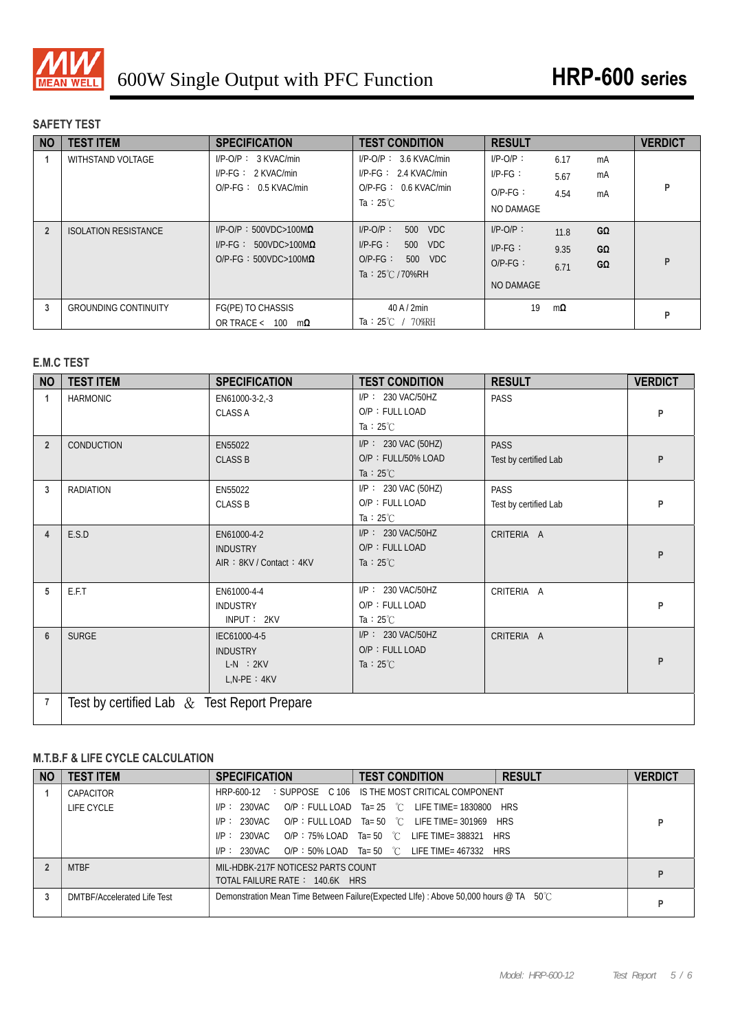

## **SAFETY TEST**

| <b>NO</b>      | <b>TEST ITEM</b>            | <b>SPECIFICATION</b>                                                      | <b>TEST CONDITION</b>                                                                                | <b>RESULT</b>                                                  |                | <b>VERDICT</b> |
|----------------|-----------------------------|---------------------------------------------------------------------------|------------------------------------------------------------------------------------------------------|----------------------------------------------------------------|----------------|----------------|
|                | <b>WITHSTAND VOLTAGE</b>    | $I/P$ -O/P : 3 KVAC/min<br>$I/P-FG: 2$ KVAC/min<br>$O/P-FG: 0.5$ KVAC/min | $I/P$ -O/P : 3.6 KVAC/min<br>$I/P-FG: 2.4$ KVAC/min<br>$O/P-FG: 0.6$ KVAC/min<br>Ta : $25^{\circ}$ C | $I/P-O/P$ :<br>6.17<br>$IP-FG$ :<br>5.67<br>$O/P-FG$ :<br>4.54 | mA<br>mA<br>mA | p              |
| $\overline{2}$ | <b>ISOLATION RESISTANCE</b> | $I/P$ -O/P: 500VDC>100M $\Omega$                                          | $I/P$ - $O/P$ :<br><b>VDC</b><br>500                                                                 | NO DAMAGE<br>$I/P-O/P$ :<br>11.8                               | GΩ             |                |
|                |                             | $I/P-FG: 500VDC>100M\Omega$<br>$O/P-FG: 500VDC>100M\Omega$                | $I/P-FG$ :<br>500 VDC<br>$O/P-FG$ :<br>500 VDC<br>Ta: $25^{\circ}$ C/70%RH                           | $IP-FG$ :<br>9.35<br>$O/P-FG$ :<br>6.71                        | GΩ<br>GΩ       | р              |
|                |                             |                                                                           |                                                                                                      | <b>NO DAMAGE</b>                                               |                |                |
| 3              | <b>GROUNDING CONTINUITY</b> | FG(PE) TO CHASSIS<br>OR TRACE < $100 \text{ m}\Omega$                     | $40$ A $/$ 2min<br>Ta: $25^{\circ}$ / 70%RH                                                          | 19<br>$m\Omega$                                                |                | P              |

## **E.M.C TEST**

| <b>NO</b>      | <b>TEST ITEM</b>                               | <b>SPECIFICATION</b>                                                | <b>TEST CONDITION</b>                                               | <b>RESULT</b>                        | <b>VERDICT</b> |  |
|----------------|------------------------------------------------|---------------------------------------------------------------------|---------------------------------------------------------------------|--------------------------------------|----------------|--|
| -1             | <b>HARMONIC</b>                                | EN61000-3-2,-3<br><b>CLASS A</b>                                    | I/P: 230 VAC/50HZ<br>O/P: FULL LOAD<br>Ta : $25^{\circ}$ C          | PASS                                 | P              |  |
| $\overline{2}$ | <b>CONDUCTION</b>                              | EN55022<br><b>CLASS B</b>                                           | $I/P$ : 230 VAC (50HZ)<br>O/P: FULL/50% LOAD<br>Ta : $25^{\circ}$ C | <b>PASS</b><br>Test by certified Lab | P              |  |
| 3              | <b>RADIATION</b>                               | EN55022<br><b>CLASS B</b>                                           | I/P: 230 VAC (50HZ)<br>O/P: FULL LOAD<br>Ta : $25^{\circ}$ C        | PASS<br>Test by certified Lab        | P              |  |
| 4              | E.S.D                                          | EN61000-4-2<br><b>INDUSTRY</b><br>AIR: 8KV / Contact: 4KV           | I/P: 230 VAC/50HZ<br>O/P: FULL LOAD<br>Ta : $25^{\circ}$ C          | CRITERIA A                           | P              |  |
| 5              | E.F.T                                          | EN61000-4-4<br><b>INDUSTRY</b><br>INPUT: 2KV                        | I/P: 230 VAC/50HZ<br>O/P: FULL LOAD<br>Ta : $25^{\circ}$ C          | CRITERIA A                           | P              |  |
| 6              | <b>SURGE</b>                                   | IEC61000-4-5<br><b>INDUSTRY</b><br>$L-N$ : $2KV$<br>$L, N-PE : 4KV$ | I/P: 230 VAC/50HZ<br>O/P: FULL LOAD<br>Ta : $25^{\circ}$ C          | CRITERIA A                           | P              |  |
| 7              | Test by certified Lab $\&$ Test Report Prepare |                                                                     |                                                                     |                                      |                |  |

# **M.T.B.F & LIFE CYCLE CALCULATION**

| <b>NO</b> | <b>TEST ITEM</b>                   | <b>SPECIFICATION</b>                                                 | <b>TEST CONDITION</b>                                                                 | <b>RESULT</b> | <b>VERDICT</b> |
|-----------|------------------------------------|----------------------------------------------------------------------|---------------------------------------------------------------------------------------|---------------|----------------|
|           | CAPACITOR                          |                                                                      | HRP-600-12 : SUPPOSE C 106 IS THE MOST CRITICAL COMPONENT                             |               |                |
|           | LIFE CYCLE                         | IP: 230VAC                                                           | $OP : FULL$ LOAD $Ta = 25$ $°C$ LIFE TIME = 1830800 HRS                               |               |                |
|           |                                    | I/P: 230VAC                                                          | $OP: FULL$ LOAD $Ta = 50$ $°C$ LIFE TIME= 301969 HRS                                  |               |                |
|           |                                    |                                                                      | $IP: 230VAC$ O/P: 75% LOAD Ta= 50 °C LIFE TIME= 388321 HRS                            |               |                |
|           |                                    | I/P: 230VAC                                                          | O/P: 50% LOAD Ta= 50 $\degree$ C LIFE TIME= 467332 HRS                                |               |                |
|           | <b>MTBF</b>                        | MIL-HDBK-217F NOTICES2 PARTS COUNT<br>TOTAL FAILURE RATE: 140.6K HRS |                                                                                       |               |                |
|           | <b>DMTBF/Accelerated Life Test</b> |                                                                      | Demonstration Mean Time Between Failure(Expected LIfe) : Above 50,000 hours @ TA 50°C |               |                |